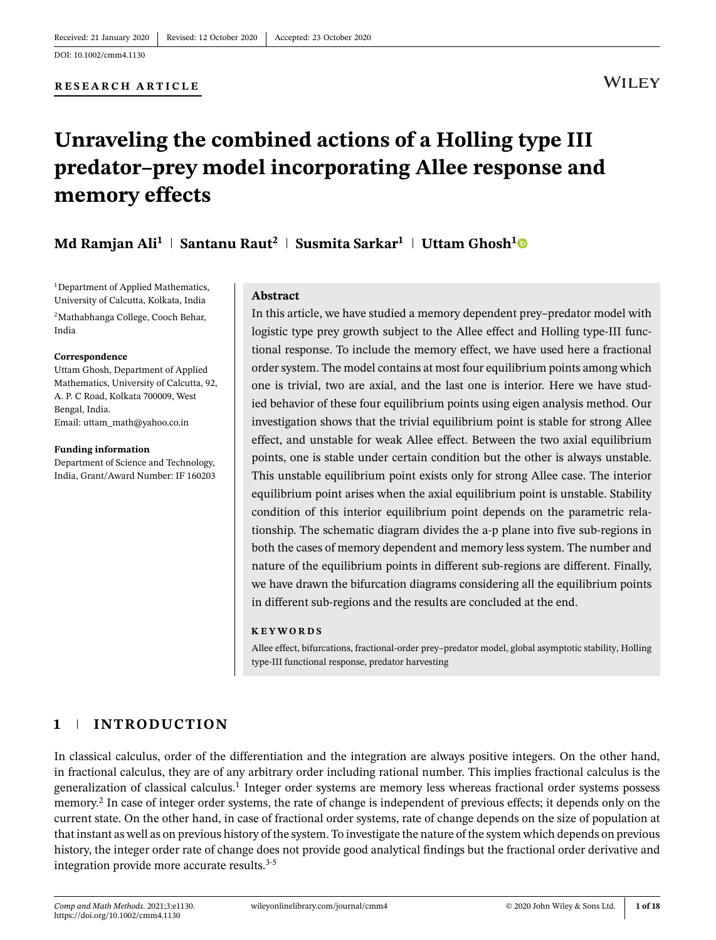#### **RESEARCH ARTICLE**

# **WILEY**

# **Unraveling the combined actions of a Holling type III predator–prey model incorporating Allee response and memory effects**

# **Md Ramjan Ali<sup>1</sup> Santanu Raut<sup>2</sup> Susmita Sarkar<sup>1</sup> Uttam Ghosh<sup>1</sup>**

<sup>1</sup>Department of Applied Mathematics, University of Calcutta, Kolkata, India <sup>2</sup>Mathabhanga College, Cooch Behar, India

#### **Correspondence**

Uttam Ghosh, Department of Applied Mathematics, University of Calcutta, 92, A. P. C Road, Kolkata 700009, West Bengal, India. Email: uttam\_math@yahoo.co.in

#### **Funding information**

Department of Science and Technology, India, Grant/Award Number: IF 160203

#### **Abstract**

In this article, we have studied a memory dependent prey–predator model with logistic type prey growth subject to the Allee effect and Holling type-III functional response. To include the memory effect, we have used here a fractional order system. The model contains at most four equilibrium points among which one is trivial, two are axial, and the last one is interior. Here we have studied behavior of these four equilibrium points using eigen analysis method. Our investigation shows that the trivial equilibrium point is stable for strong Allee effect, and unstable for weak Allee effect. Between the two axial equilibrium points, one is stable under certain condition but the other is always unstable. This unstable equilibrium point exists only for strong Allee case. The interior equilibrium point arises when the axial equilibrium point is unstable. Stability condition of this interior equilibrium point depends on the parametric relationship. The schematic diagram divides the a-p plane into five sub-regions in both the cases of memory dependent and memory less system. The number and nature of the equilibrium points in different sub-regions are different. Finally, we have drawn the bifurcation diagrams considering all the equilibrium points in different sub-regions and the results are concluded at the end.

#### **KEYWORDS**

Allee effect, bifurcations, fractional-order prey–predator model, global asymptotic stability, Holling type-III functional response, predator harvesting

# **1 INTRODUCTION**

In classical calculus, order of the differentiation and the integration are always positive integers. On the other hand, in fractional calculus, they are of any arbitrary order including rational number. This implies fractional calculus is the generalization of classical calculus.<sup>1</sup> Integer order systems are memory less whereas fractional order systems possess memory.<sup>2</sup> In case of integer order systems, the rate of change is independent of previous effects; it depends only on the current state. On the other hand, in case of fractional order systems, rate of change depends on the size of population at that instant as well as on previous history of the system. To investigate the nature of the system which depends on previous history, the integer order rate of change does not provide good analytical findings but the fractional order derivative and integration provide more accurate results.<sup>3-5</sup>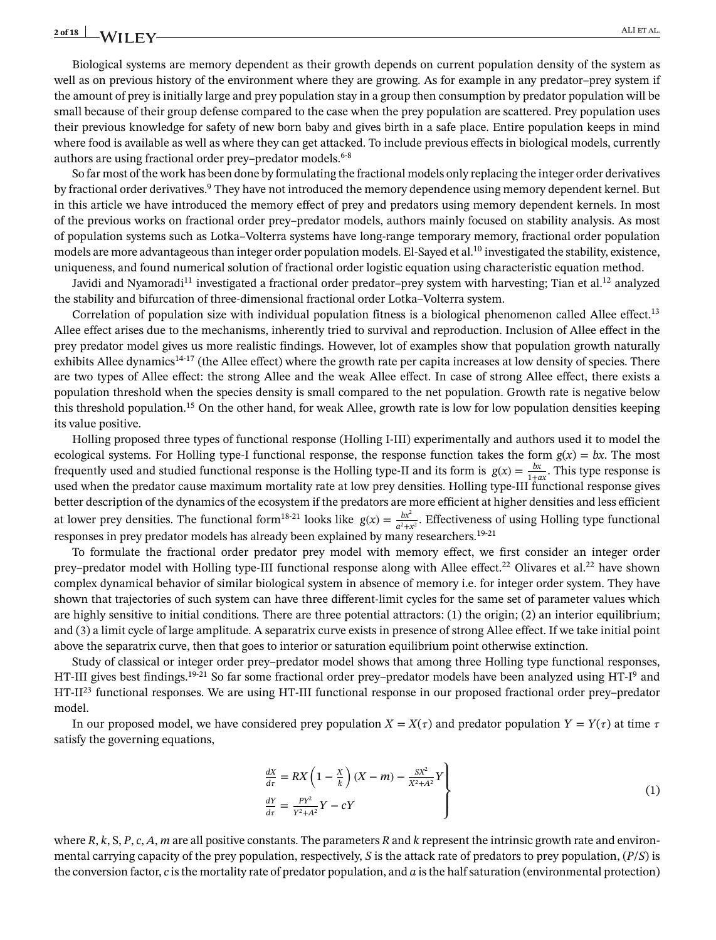Biological systems are memory dependent as their growth depends on current population density of the system as well as on previous history of the environment where they are growing. As for example in any predator–prey system if the amount of prey is initially large and prey population stay in a group then consumption by predator population will be small because of their group defense compared to the case when the prey population are scattered. Prey population uses their previous knowledge for safety of new born baby and gives birth in a safe place. Entire population keeps in mind where food is available as well as where they can get attacked. To include previous effects in biological models, currently authors are using fractional order prey–predator models.<sup>6-8</sup>

So far most of the work has been done by formulating the fractional models only replacing the integer order derivatives by fractional order derivatives.<sup>9</sup> They have not introduced the memory dependence using memory dependent kernel. But in this article we have introduced the memory effect of prey and predators using memory dependent kernels. In most of the previous works on fractional order prey–predator models, authors mainly focused on stability analysis. As most of population systems such as Lotka–Volterra systems have long-range temporary memory, fractional order population models are more advantageous than integer order population models. El-Sayed et al.<sup>10</sup> investigated the stability, existence, uniqueness, and found numerical solution of fractional order logistic equation using characteristic equation method.

Javidi and Nyamoradi<sup>11</sup> investigated a fractional order predator–prey system with harvesting; Tian et al.<sup>12</sup> analyzed the stability and bifurcation of three-dimensional fractional order Lotka–Volterra system.

Correlation of population size with individual population fitness is a biological phenomenon called Allee effect.<sup>13</sup> Allee effect arises due to the mechanisms, inherently tried to survival and reproduction. Inclusion of Allee effect in the prey predator model gives us more realistic findings. However, lot of examples show that population growth naturally exhibits Allee dynamics<sup>14-17</sup> (the Allee effect) where the growth rate per capita increases at low density of species. There are two types of Allee effect: the strong Allee and the weak Allee effect. In case of strong Allee effect, there exists a population threshold when the species density is small compared to the net population. Growth rate is negative below this threshold population.<sup>15</sup> On the other hand, for weak Allee, growth rate is low for low population densities keeping its value positive.

Holling proposed three types of functional response (Holling I-III) experimentally and authors used it to model the ecological systems. For Holling type-I functional response, the response function takes the form  $g(x) = bx$ . The most frequently used and studied functional response is the Holling type-II and its form is  $g(x) = \frac{bx}{1+ax}$ . This type response is used when the predator cause maximum mortality rate at low prey densities. Holling type-III functional response gives better description of the dynamics of the ecosystem if the predators are more efficient at higher densities and less efficient at lower prey densities. The functional form<sup>18-21</sup> looks like  $g(x) = \frac{bx^2}{a^2 + x^2}$ . Effectiveness of using Holling type functional responses in prey predator models has already been explained by many researchers.<sup>19-21</sup>

To formulate the fractional order predator prey model with memory effect, we first consider an integer order prey–predator model with Holling type-III functional response along with Allee effect.<sup>22</sup> Olivares et al.<sup>22</sup> have shown complex dynamical behavior of similar biological system in absence of memory i.e. for integer order system. They have shown that trajectories of such system can have three different-limit cycles for the same set of parameter values which are highly sensitive to initial conditions. There are three potential attractors: (1) the origin; (2) an interior equilibrium; and (3) a limit cycle of large amplitude. A separatrix curve exists in presence of strong Allee effect. If we take initial point above the separatrix curve, then that goes to interior or saturation equilibrium point otherwise extinction.

Study of classical or integer order prey–predator model shows that among three Holling type functional responses, HT-III gives best findings.<sup>19-21</sup> So far some fractional order prey–predator models have been analyzed using HT-I<sup>9</sup> and HT-II<sup>23</sup> functional responses. We are using HT-III functional response in our proposed fractional order prey–predator model.

In our proposed model, we have considered prey population  $X = X(\tau)$  and predator population  $Y = Y(\tau)$  at time  $\tau$ satisfy the governing equations,

$$
\frac{dX}{dt} = RX \left(1 - \frac{X}{k}\right)(X - m) - \frac{SX^2}{X^2 + A^2}Y
$$
\n
$$
\frac{dY}{dt} = \frac{PY^2}{Y^2 + A^2}Y - cY
$$
\n(1)

where  $R$ ,  $k$ ,  $S$ ,  $P$ ,  $c$ ,  $A$ ,  $m$  are all positive constants. The parameters  $R$  and  $k$  represent the intrinsic growth rate and environmental carrying capacity of the prey population, respectively, *S* is the attack rate of predators to prey population, (*P*/*S*) is the conversion factor, *c* is the mortality rate of predator population, and *a* is the half saturation (environmental protection)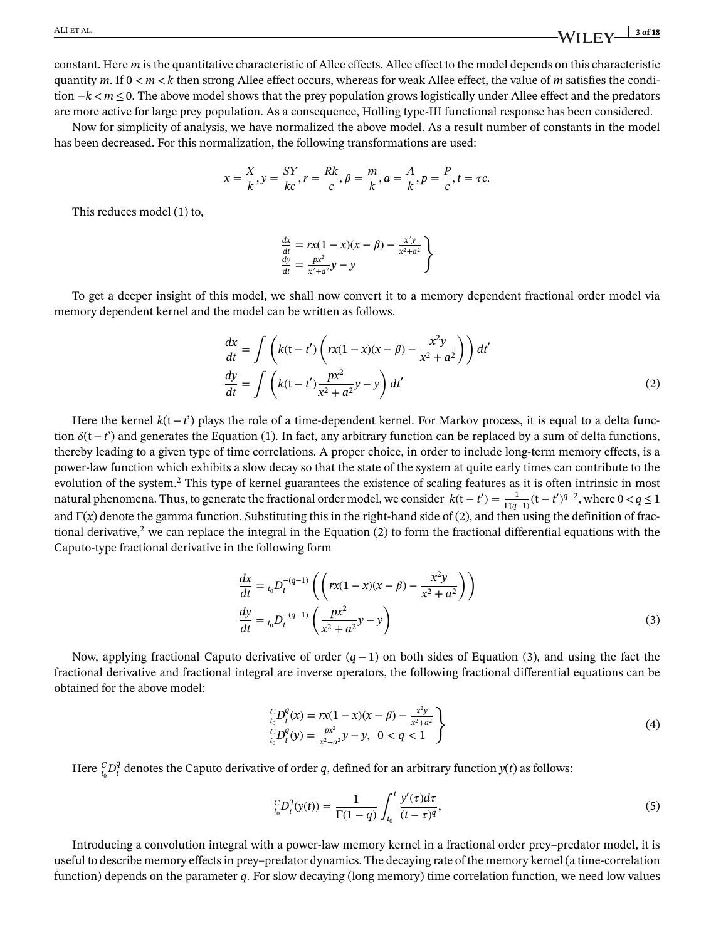constant. Here *m* is the quantitative characteristic of Allee effects. Allee effect to the model depends on this characteristic quantity *m*. If  $0 \le m \le k$  then strong Allee effect occurs, whereas for weak Allee effect, the value of *m* satisfies the condition −*k< m* ≤0. The above model shows that the prey population grows logistically under Allee effect and the predators are more active for large prey population. As a consequence, Holling type-III functional response has been considered.

Now for simplicity of analysis, we have normalized the above model. As a result number of constants in the model has been decreased. For this normalization, the following transformations are used:

$$
x = \frac{X}{k}, y = \frac{SY}{kc}, r = \frac{Rk}{c}, \beta = \frac{m}{k}, a = \frac{A}{k}, p = \frac{P}{c}, t = \tau c.
$$

This reduces model (1) to,

$$
\begin{aligned}\n\frac{dx}{dt} &= rx(1-x)(x-\beta) - \frac{x^2y}{x^2+a^2} \\
\frac{dy}{dt} &= \frac{px^2}{x^2+a^2}y - y\n\end{aligned}
$$

To get a deeper insight of this model, we shall now convert it to a memory dependent fractional order model via memory dependent kernel and the model can be written as follows.

$$
\frac{dx}{dt} = \int \left( k(t - t') \left( rx(1 - x)(x - \beta) - \frac{x^2 y}{x^2 + a^2} \right) \right) dt'
$$
\n
$$
\frac{dy}{dt} = \int \left( k(t - t') \frac{px^2}{x^2 + a^2} y - y \right) dt'
$$
\n(2)

Here the kernel *k*(t−*t*') plays the role of a time-dependent kernel. For Markov process, it is equal to a delta function (t−*t*') and generates the Equation (1). In fact, any arbitrary function can be replaced by a sum of delta functions, thereby leading to a given type of time correlations. A proper choice, in order to include long-term memory effects, is a power-law function which exhibits a slow decay so that the state of the system at quite early times can contribute to the evolution of the system.<sup>2</sup> This type of kernel guarantees the existence of scaling features as it is often intrinsic in most natural phenomena. Thus, to generate the fractional order model, we consider  $k(t-t') = \frac{1}{\Gamma(q-1)}(t-t')^{q-2}$ , where  $0 < q \le 1$ and Γ(*x*) denote the gamma function. Substituting this in the right-hand side of (2), and then using the definition of fractional derivative,<sup>2</sup> we can replace the integral in the Equation (2) to form the fractional differential equations with the Caputo-type fractional derivative in the following form

$$
\frac{dx}{dt} = t_0 D_t^{-(q-1)} \left( \left( rx(1-x)(x-\beta) - \frac{x^2 y}{x^2 + a^2} \right) \right)
$$
\n
$$
\frac{dy}{dt} = t_0 D_t^{-(q-1)} \left( \frac{px^2}{x^2 + a^2} y - y \right)
$$
\n(3)

Now, applying fractional Caputo derivative of order (*q*−1) on both sides of Equation (3), and using the fact the fractional derivative and fractional integral are inverse operators, the following fractional differential equations can be obtained for the above model:

$$
\begin{aligned} \n\binom{C}{t_0} P_t^q(x) &= r x (1 - x)(x - \beta) - \frac{x^2 y}{x^2 + a^2} \\ \n\binom{C}{t_0} P_t^q(y) &= \frac{px^2}{x^2 + a^2} y - y, \ \ 0 < q < 1 \end{aligned} \tag{4}
$$

Here  ${}_{t_0}^{C}D_t^q$  $\frac{q}{t}$  denotes the Caputo derivative of order *q*, defined for an arbitrary function  $y(t)$  as follows:

$$
{}_{t_0}^C D_t^q(y(t)) = \frac{1}{\Gamma(1-q)} \int_{t_0}^t \frac{y'(\tau)d\tau}{(t-\tau)^q},\tag{5}
$$

Introducing a convolution integral with a power-law memory kernel in a fractional order prey–predator model, it is useful to describe memory effects in prey–predator dynamics. The decaying rate of the memory kernel (a time-correlation function) depends on the parameter *q*. For slow decaying (long memory) time correlation function, we need low values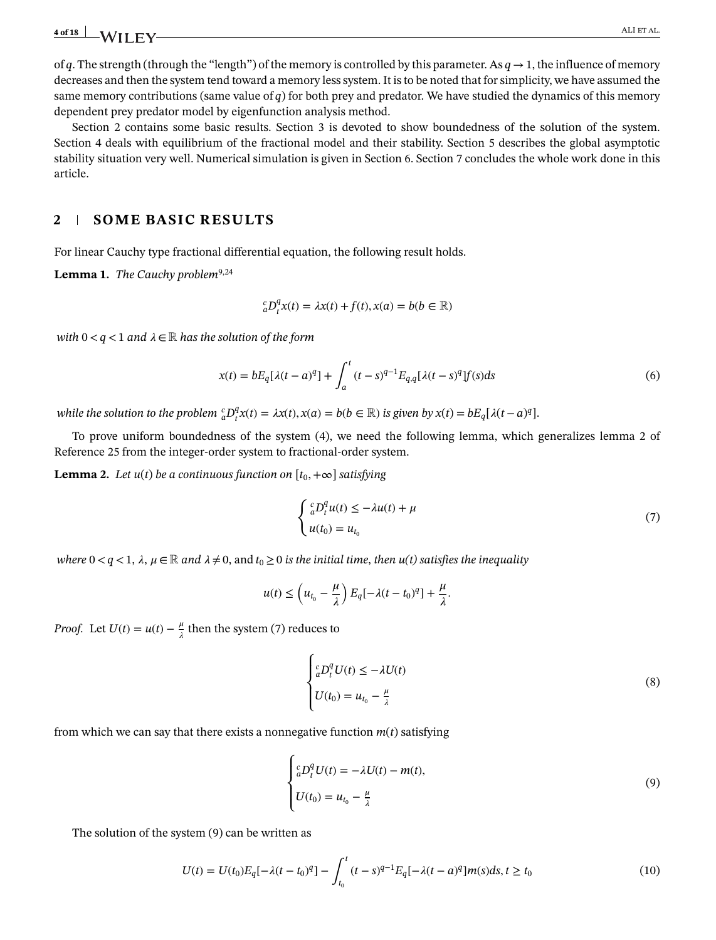of *q*. The strength (through the "length") of the memory is controlled by this parameter. As  $q \to 1$ , the influence of memory decreases and then the system tend toward a memory less system. It is to be noted that for simplicity, we have assumed the same memory contributions (same value of *q*) for both prey and predator. We have studied the dynamics of this memory dependent prey predator model by eigenfunction analysis method.

Section 2 contains some basic results. Section 3 is devoted to show boundedness of the solution of the system. Section 4 deals with equilibrium of the fractional model and their stability. Section 5 describes the global asymptotic stability situation very well. Numerical simulation is given in Section 6. Section 7 concludes the whole work done in this article.

## **2 SOME BASIC RESULTS**

For linear Cauchy type fractional differential equation, the following result holds.

Lemma 1. *The Cauchy problem*<sup>9,24</sup>

$$
{}_{a}^{c}D_{t}^{q}x(t) = \lambda x(t) + f(t), x(a) = b(b \in \mathbb{R})
$$

*with*  $0 < q < 1$  *and*  $\lambda \in \mathbb{R}$  *has the solution of the form* 

$$
x(t) = bE_q[\lambda(t-a)^q] + \int_a^t (t-s)^{q-1} E_{q,q}[\lambda(t-s)^q] f(s) ds \tag{6}
$$

while the solution to the problem  ${}^c_aD^q_t$  $f_t^q x(t) = \lambda x(t), x(a) = b(b \in \mathbb{R})$  *is given by*  $x(t) = bE_q[\lambda(t-a)^q].$ 

To prove uniform boundedness of the system (4), we need the following lemma, which generalizes lemma 2 of Reference 25 from the integer-order system to fractional-order system.

**Lemma 2.** *Let*  $u(t)$  *be a continuous function on*  $[t_0, +\infty]$  *satisfying* 

$$
\begin{cases} \binom{c}{a} D_t^q u(t) \le -\lambda u(t) + \mu \\ u(t_0) = u_{t_0} \end{cases} \tag{7}
$$

*where*  $0 < q < 1$ ,  $\lambda$ ,  $\mu \in \mathbb{R}$  and  $\lambda \neq 0$ , and  $t_0 \geq 0$  is the initial time, then  $u(t)$  satisfies the inequality

$$
u(t) \le \left(u_{t_0} - \frac{\mu}{\lambda}\right) E_q[-\lambda(t - t_0)^q] + \frac{\mu}{\lambda}.
$$

*Proof.* Let  $U(t) = u(t) - \frac{\mu}{\lambda}$  then the system (7) reduces to

$$
\begin{cases} \frac{c}{a}D_t^q U(t) \le -\lambda U(t) \\ U(t_0) = u_{t_0} - \frac{\mu}{\lambda} \end{cases}
$$
 (8)

from which we can say that there exists a nonnegative function *m*(*t*) satisfying

$$
\begin{cases}\n\frac{c}{a}D_t^q U(t) = -\lambda U(t) - m(t), \\
U(t_0) = u_{t_0} - \frac{\mu}{\lambda}\n\end{cases}
$$
\n(9)

The solution of the system (9) can be written as

$$
U(t) = U(t_0)E_q[-\lambda(t - t_0)^q] - \int_{t_0}^t (t - s)^{q-1} E_q[-\lambda(t - a)^q]m(s)ds, t \ge t_0
$$
\n(10)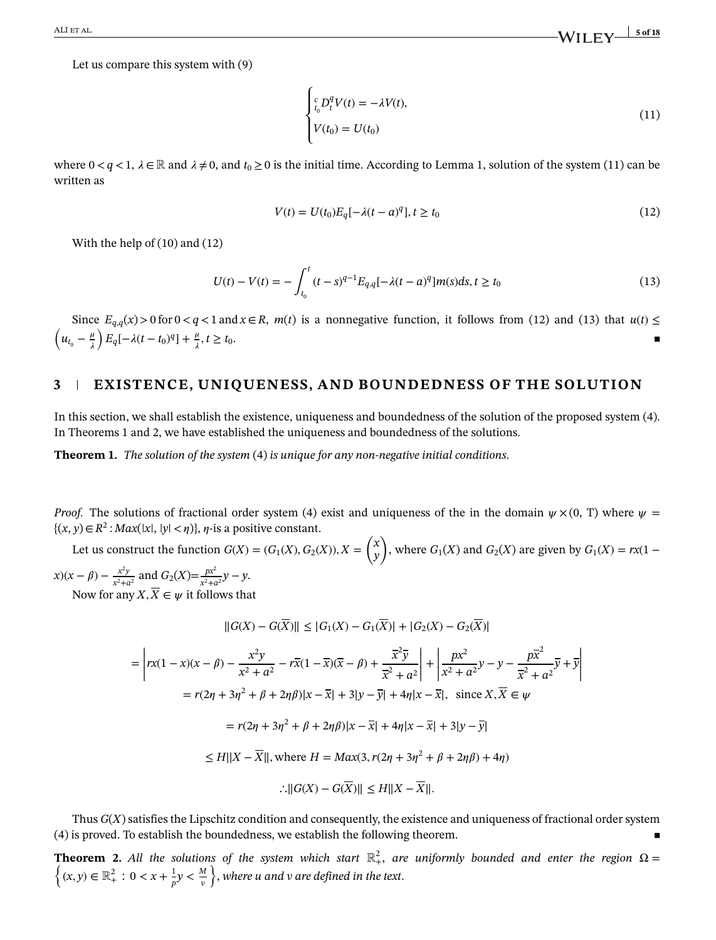ALI ET AL. **S** of 18

Let us compare this system with (9)

$$
\begin{cases}\n\int_{t_0}^c D_t^q V(t) = -\lambda V(t), \\
V(t_0) = U(t_0)\n\end{cases}
$$
\n(11)

where  $0 < q < 1$ ,  $\lambda \in \mathbb{R}$  and  $\lambda \neq 0$ , and  $t_0 \geq 0$  is the initial time. According to Lemma 1, solution of the system (11) can be written as

$$
V(t) = U(t_0)E_q[-\lambda(t-a)^q], t \ge t_0
$$
\n(12)

With the help of (10) and (12)

$$
U(t) - V(t) = -\int_{t_0}^t (t-s)^{q-1} E_{q,q}[-\lambda(t-a)^q]m(s)ds, t \ge t_0
$$
\n(13)

Since  $E_{q,q}(x) > 0$  for  $0 < q < 1$  and  $x \in R$ ,  $m(t)$  is a nonnegative function, it follows from (12) and (13) that  $u(t) \le$  $\left(u_{t_0} - \frac{\mu}{\lambda}\right)$ λ  $\int E_q[-\lambda(t-t_0)^q] + \frac{\mu}{\lambda}$  $, t \geq t_0.$ 

# **3 EXISTENCE, UNIQUENESS, AND BOUNDEDNESS OF THE SOLUTION**

In this section, we shall establish the existence, uniqueness and boundedness of the solution of the proposed system (4). In Theorems 1 and 2, we have established the uniqueness and boundedness of the solutions.

**Theorem 1.** *The solution of the system* (4) *is unique for any non-negative initial conditions*.

*Proof.* The solutions of fractional order system (4) exist and uniqueness of the in the domain  $\psi \times (0, T)$  where  $\psi =$  ${(x, y) ∈ R<sup>2</sup> : Max(|x|, |y| < η)},$  *η*-is a positive constant.

Let us construct the function  $G(X) = (G_1(X), G_2(X)), X =$ ( *x y*  $\lambda$ , where  $G_1(X)$  and  $G_2(X)$  are given by  $G_1(X) = rx(1 -$ 

 $f(x - \beta) - \frac{x^2y}{y^2+y^2}$  $\frac{x^2y}{x^2+a^2}$  and  $G_2(X)=\frac{px^2}{x^2+a^2}$  $\frac{px}{x^2+a^2}y-y.$ Now for any  $X, \overline{X} \in \psi$  it follows that

$$
||G(X) - G(\overline{X})|| \le |G_1(X) - G_1(\overline{X})| + |G_2(X) - G_2(\overline{X})|
$$
  
\n
$$
= \left| rx(1 - x)(x - \beta) - \frac{x^2y}{x^2 + a^2} - r\overline{x}(1 - \overline{x})(\overline{x} - \beta) + \frac{\overline{x}^2\overline{y}}{\overline{x}^2 + a^2} \right| + \left| \frac{px^2}{x^2 + a^2}y - y - \frac{p\overline{x}^2}{\overline{x}^2 + a^2}\overline{y} + \overline{y} \right|
$$
  
\n
$$
= r(2\eta + 3\eta^2 + \beta + 2\eta\beta)|x - \overline{x}| + 3|y - \overline{y}| + 4\eta|x - \overline{x}|, \text{ since } X, \overline{X} \in \psi
$$
  
\n
$$
= r(2\eta + 3\eta^2 + \beta + 2\eta\beta)|x - \overline{x}| + 4\eta|x - \overline{x}| + 3|y - \overline{y}|
$$
  
\n
$$
\le H||X - \overline{X}||, \text{ where } H = Max(3, r(2\eta + 3\eta^2 + \beta + 2\eta\beta) + 4\eta)
$$
  
\n
$$
\therefore ||G(X) - G(\overline{X})|| \le H||X - \overline{X}||.
$$

Thus  $G(X)$  satisfies the Lipschitz condition and consequently, the existence and uniqueness of fractional order system  $(4)$  is proved. To establish the boundedness, we establish the following theorem.

**Theorem 2.** All the solutions of the system which start  $\mathbb{R}^2_+$ , are uniformly bounded and enter the region  $\Omega=$  $\left\{(x,y) \in \mathbb{R}^2_+ : 0 < x + \frac{1}{n}\right\}$  $\frac{1}{p}y < \frac{M}{v}$ *v* } , *where u and v are defined in the text*.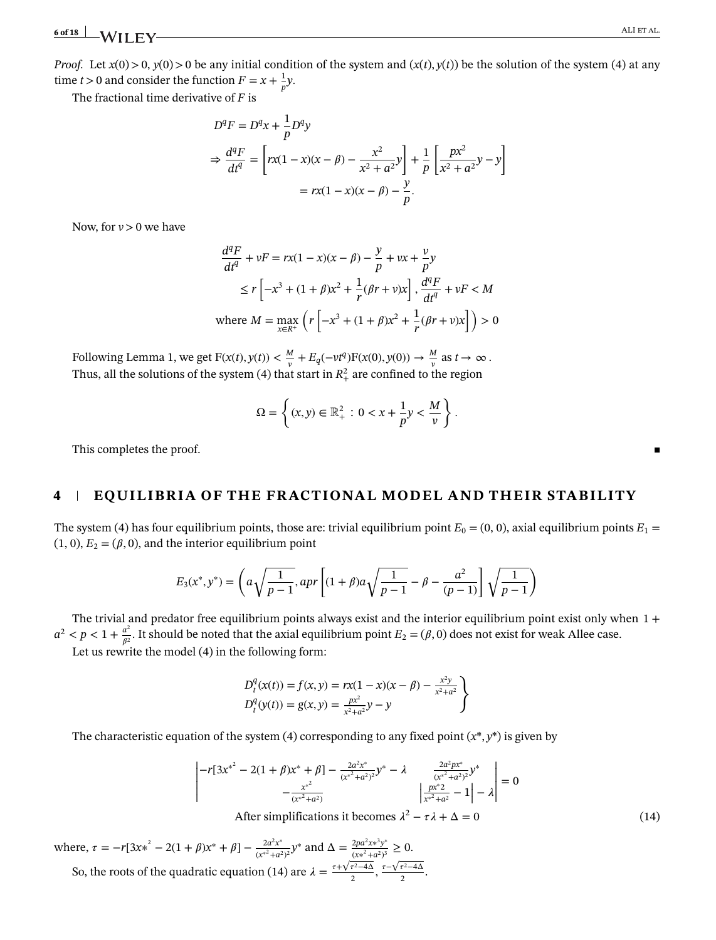# **6 of 18 ALI ET AL. ALI ET AL. ALI ET AL. ALI ET AL.**

*Proof.* Let  $x(0) > 0$ ,  $y(0) > 0$  be any initial condition of the system and  $(x(t), y(t))$  be the solution of the system (4) at any time  $t > 0$  and consider the function  $F = x + \frac{1}{n}$  $\frac{1}{p}y$ .

The fractional time derivative of *F* is

$$
D^{q}F = D^{q}x + \frac{1}{p}D^{q}y
$$
  
\n
$$
\Rightarrow \frac{d^{q}F}{dt^{q}} = \left[rx(1-x)(x-\beta) - \frac{x^{2}}{x^{2} + a^{2}}y\right] + \frac{1}{p}\left[\frac{px^{2}}{x^{2} + a^{2}}y - y\right]
$$
  
\n
$$
= rx(1-x)(x-\beta) - \frac{y}{p}.
$$

Now, for  $v > 0$  we have

$$
\frac{d^q F}{dt^q} + vF = rx(1 - x)(x - \beta) - \frac{y}{p} + vx + \frac{v}{p}y
$$
  
\n
$$
\le r \left[ -x^3 + (1 + \beta)x^2 + \frac{1}{r}(\beta r + v)x \right], \frac{d^q F}{dt^q} + vF < M
$$
  
\nwhere  $M = \max_{x \in R^+} \left( r \left[ -x^3 + (1 + \beta)x^2 + \frac{1}{r}(\beta r + v)x \right] \right) > 0$ 

Following Lemma 1, we get  $F(x(t), y(t)) < \frac{M}{w}$ *v*<sub>*v*</sub>  $+ E_q(-vt^q) F(x(0), y(0)) \to \frac{M}{v^q}$  $\frac{M}{v}$  as  $t \to \infty$ . Thus, all the solutions of the system (4) that start in  $R_+^2$  are confined to the region

$$
\Omega = \left\{ (x, y) \in \mathbb{R}_+^2 : 0 < x + \frac{1}{p} y < \frac{M}{v} \right\}.
$$

This completes the proof.

### **4 EQUILIBRIA OF THE FRACTIONAL MODEL AND THEIR STABILITY**

The system (4) has four equilibrium points, those are: trivial equilibrium point  $E_0 = (0, 0)$ , axial equilibrium points  $E_1 =$  $(1, 0), E_2 = (\beta, 0)$ , and the interior equilibrium point

$$
E_3(x^*, y^*) = \left( a \sqrt{\frac{1}{p-1}}, a p r \left[ (1+\beta)a \sqrt{\frac{1}{p-1}} - \beta - \frac{a^2}{(p-1)} \right] \sqrt{\frac{1}{p-1}} \right)
$$

The trivial and predator free equilibrium points always exist and the interior equilibrium point exist only when  $1 +$  $a^2 < p < 1 + \frac{a^2}{a^2}$  $\frac{a^2}{\beta^2}$ . It should be noted that the axial equilibrium point  $E_2 = (\beta, 0)$  does not exist for weak Allee case. Let us rewrite the model (4) in the following form:

$$
D_t^q(x(t)) = f(x, y) = rx(1 - x)(x - \beta) - \frac{x^2y}{x^2 + a^2}
$$
  

$$
D_t^q(y(t)) = g(x, y) = \frac{px^2}{x^2 + a^2}y - y
$$

The characteristic equation of the system (4) corresponding to any fixed point  $(x^*, y^*)$  is given by

$$
\begin{vmatrix} -r[3x^{*^2} - 2(1+\beta)x^* + \beta] - \frac{2a^2x^*}{(x^{*^2}+a^2)^2}y^* - \lambda & \frac{2a^2px^*}{(x^{*^2}+a^2)^2}y^* \\ - \frac{x^{*^2}}{(x^{*^2}+a^2)} & \frac{2a^2px^*}{(x^{*^2}+a^2)^2}y^* \end{vmatrix} = 0
$$

After simplifications it becomes  $\lambda^2 - \tau \lambda + \Delta = 0$  (14)

where,  $\tau = -r[3x^2 - 2(1 + \beta)x^* + \beta] - \frac{2a^2x^4}{(x^2 + \beta)^2}$  $\frac{2a^2x^*}{(x^*^2+a^2)^2}$ *y*<sup>\*</sup> and  $\Delta = \frac{2pa^2x^*^3y^*}{(x^*^2+a^2)^3}$  $\frac{2pa^2x*^3y^*}{(x*^2+a^2)^3} \geq 0.$ So, the roots of the quadratic equation (14) are  $\lambda = \frac{\tau + \sqrt{\tau^2 - 4\Delta}}{2}$  $\frac{\tau^2-4\Delta}{2}, \frac{\tau-\sqrt{\tau^2-4\Delta}}{2}$  $\frac{\tau^2-4\Delta}{2}$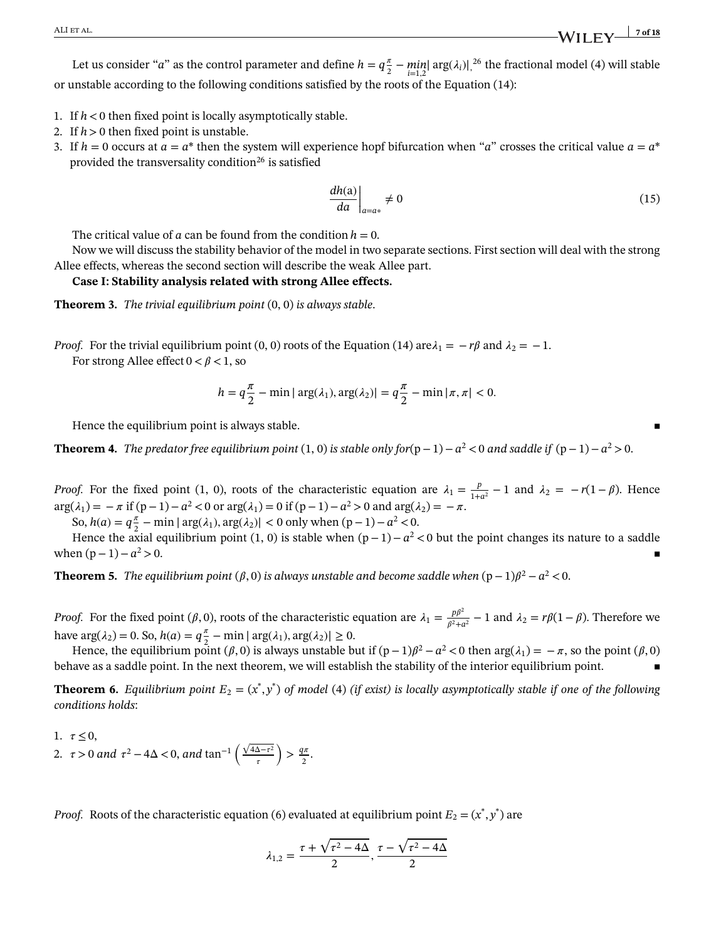Let us consider "*a*" as the control parameter and define  $h = q\frac{\pi}{2}$  $\frac{\pi}{2} - \min_{i=1,2} |\arg(\lambda_i)|^{26}$  the fractional model (4) will stable or unstable according to the following conditions satisfied by the roots of the Equation (14):

- 1. If *h<*0 then fixed point is locally asymptotically stable.
- 2. If *h>*0 then fixed point is unstable.
- 3. If  $h = 0$  occurs at  $a = a^*$  then the system will experience hopf bifurcation when "*a*" crosses the critical value  $a = a^*$ provided the transversality condition<sup>26</sup> is satisfied

$$
\left. \frac{dh(a)}{da} \right|_{a=a*} \neq 0 \tag{15}
$$

The critical value of  $a$  can be found from the condition  $h = 0$ .

Now we will discuss the stability behavior of the model in two separate sections. First section will deal with the strong Allee effects, whereas the second section will describe the weak Allee part.

#### **Case I: Stability analysis related with strong Allee effects.**

**Theorem 3.** *The trivial equilibrium point* (0, 0) *is always stable*.

*Proof.* For the trivial equilibrium point (0, 0) roots of the Equation (14) are  $\lambda_1 = -r\beta$  and  $\lambda_2 = -1$ . For strong Allee effect  $0 < \beta < 1$ , so

$$
h = q\frac{\pi}{2} - \min|\arg(\lambda_1), \arg(\lambda_2)| = q\frac{\pi}{2} - \min|\pi, \pi| < 0.
$$

Hence the equilibrium point is always stable.

**Theorem 4.** *The predator free equilibrium point* (1, 0) *is stable only for*(p−1)−*a* <sup>2</sup> *<*0 *and saddle if* (p−1)−*a* <sup>2</sup> *>*0.

*Proof.* For the fixed point (1, 0), roots of the characteristic equation are  $\lambda_1 = \frac{p}{1+r}$  $\frac{p}{1+a^2} - 1$  and  $\lambda_2 = -r(1-\beta)$ . Hence  $arg(\lambda_1) = -\pi$  if (p−1)−*a*<sup>2</sup> < 0 or  $arg(\lambda_1) = 0$  if (p−1)−*a*<sup>2</sup> > 0 and  $arg(\lambda_2) = -\pi$ . So,  $h(a) = q^{\frac{\pi}{2}} - \min |\arg(\lambda_1), \arg(\lambda_2)| < 0$  only when  $(p-1) - a^2 < 0$ .

Hence the axial equilibrium point (1, 0) is stable when  $(p-1)-a^2 < 0$  but the point changes its nature to a saddle when  $(p-1)-a^2>0$ .  $2 > 0$ .

**Theorem 5.** *The equilibrium point (* $\beta$ *,0) is always unstable and become saddle when* (p  $-1$ ) $\beta^2 - a^2 < 0$ .

*Proof.* For the fixed point ( $\beta$ , 0), roots of the characteristic equation are  $\lambda_1 = \frac{p\beta^2}{\beta^2 + \beta^2}$  $\frac{p\beta}{\beta^2 + a^2} - 1$  and  $\lambda_2 = r\beta(1-\beta)$ . Therefore we have  $\arg(\lambda_2) = 0$ . So,  $h(a) = q\frac{\pi}{2}$  $\frac{\pi}{2} - \min |\arg(\lambda_1), \arg(\lambda_2)| \ge 0.$ 

Hence, the equilibrium point ( $\beta$ ,0) is always unstable but if  $(p-1)\beta^2 - a^2 < 0$  then  $\arg(\lambda_1) = -\pi$ , so the point ( $\beta$ ,0) behave as a saddle point. In the next theorem, we will establish the stability of the interior equilibrium point.

**Theorem 6.** Equilibrium point  $E_2 = (x^*, y^*)$  of model (4) (if exist) is locally asymptotically stable if one of the following *conditions holds*:

1.  $\tau \leq 0$ , 2.  $\tau > 0$  *and*  $\tau^2 - 4\Delta < 0$ , *and*  $\tan^{-1} \left( \frac{\sqrt{4\Delta - \tau^2}}{\sigma^2} \right)$  $\tau$  $\left( \frac{q\pi}{2} \right)$  $rac{1\pi}{2}$ .

*Proof.* Roots of the characteristic equation (6) evaluated at equilibrium point  $E_2 = (x^*, y^*)$  are

$$
\lambda_{1,2} = \frac{\tau + \sqrt{\tau^2 - 4\Delta}}{2}, \frac{\tau - \sqrt{\tau^2 - 4\Delta}}{2}
$$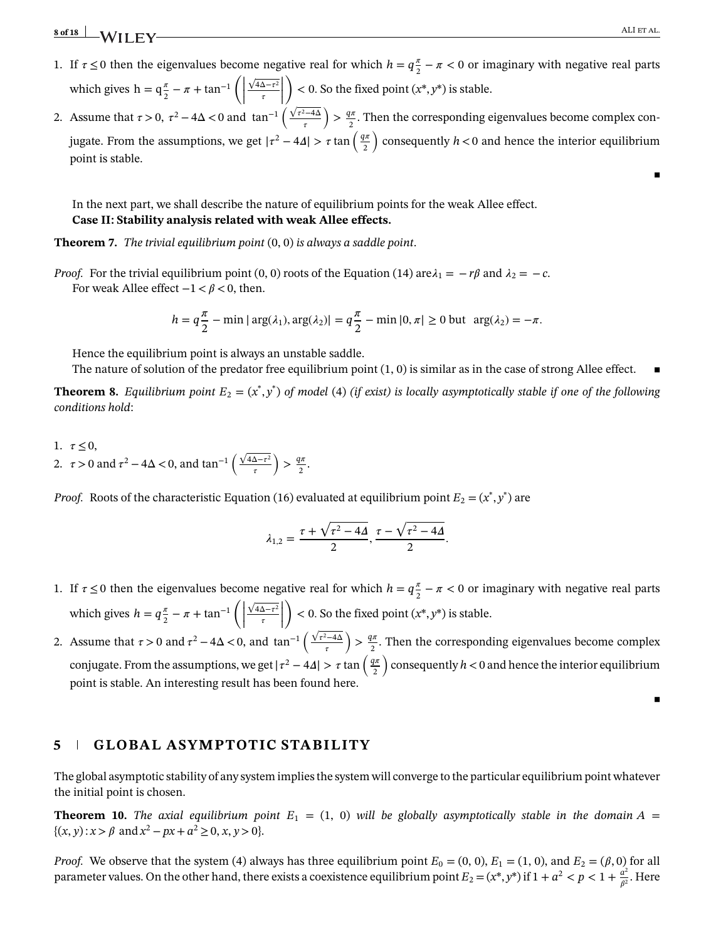▪

- 1. If  $\tau \leq 0$  then the eigenvalues become negative real for which  $h = q\frac{\pi}{2}$  $\frac{\pi}{2} - \pi < 0$  or imaginary with negative real parts which gives  $h = q\frac{\pi}{2}$  $\frac{\pi}{2} - \pi + \tan^{-1}\left(\right)$  $\sqrt{4\Delta-\tau^2}$  $\left| \frac{\Delta - \tau^2}{\tau} \right|$  $\lambda$ *<* 0*.* So the fixed point (*x*\*, *y*\*) is stable.
- |<br>|-<br>| 1 2. Assume that  $\tau > 0$ ,  $\tau^2 - 4\Delta < 0$  and  $\tan^{-1} \left( \frac{\sqrt{\tau^2 - 4\Delta}}{\tau} \right)$  $\tau$  $\left( \frac{q\pi}{2} \right)$  $\frac{2\pi}{2}$ . Then the corresponding eigenvalues become complex conjugate. From the assumptions, we get  $|\tau^2 - 4\Delta| > \tau \tan \left( \frac{q\pi}{2} \right)$ 2 ) consequently *h<*0 and hence the interior equilibrium point is stable.

In the next part, we shall describe the nature of equilibrium points for the weak Allee effect. **Case II: Stability analysis related with weak Allee effects.**

**Theorem 7.** *The trivial equilibrium point* (0, 0) *is always a saddle point*.

*Proof.* For the trivial equilibrium point (0, 0) roots of the Equation (14) are  $\lambda_1 = -r\beta$  and  $\lambda_2 = -c$ . For weak Allee effect  $-1 < \beta < 0$ , then.

$$
h = q\frac{\pi}{2} - \min|\arg(\lambda_1), \arg(\lambda_2)| = q\frac{\pi}{2} - \min|0, \pi| \ge 0 \text{ but } \arg(\lambda_2) = -\pi.
$$

Hence the equilibrium point is always an unstable saddle.

The nature of solution of the predator free equilibrium point  $(1, 0)$  is similar as in the case of strong Allee effect.

**Theorem 8.** Equilibrium point  $E_2 = (x^*, y^*)$  of model (4) (if exist) is locally asymptotically stable if one of the following *conditions hold*:

1.  $\tau \leq 0$ , 2.  $\tau > 0$  and  $\tau^2 - 4\Delta < 0$ , and  $\tan^{-1} \left( \frac{\sqrt{4\Delta - \tau^2}}{\tau^2} \right)$  $\tau$  $\left( \frac{q\pi}{2} \right)$  $rac{l^n}{2}$ .

*Proof.* Roots of the characteristic Equation (16) evaluated at equilibrium point  $E_2 = (x^*, y^*)$  are

$$
\lambda_{1,2} = \frac{\tau + \sqrt{\tau^2 - 4A}}{2}, \frac{\tau - \sqrt{\tau^2 - 4A}}{2}.
$$

- 1. If  $\tau \leq 0$  then the eigenvalues become negative real for which  $h = q^{\frac{\pi}{2}}$  $\frac{\pi}{2} - \pi < 0$  or imaginary with negative real parts which gives  $h = q \frac{\pi}{2}$  $\frac{\pi}{2} - \pi + \tan^{-1}\left(\right)$  $\sqrt{4\Delta-\tau^2}$  $\left| \frac{\Delta - \tau^2}{\tau} \right|$  $\setminus$ *<* 0*.* So the fixed point (*x*\*, *y*\*) is stable.
- | | 2. Assume that  $\tau > 0$  and  $\tau^2 - 4\Delta < 0$ , and  $\tan^{-1} \left( \frac{\sqrt{\tau^2 - 4\Delta}}{2} \right)$  $\tau$  $\left( \frac{q\pi}{2} \right)$  $\frac{2\pi}{2}$ . Then the corresponding eigenvalues become complex conjugate. From the assumptions, we get  $|\tau^2 - 4\Delta| > \tau \tan \left( \frac{q\pi}{2} \right)$ 2 ) consequently *h<*0 and hence the interior equilibrium point is stable. An interesting result has been found here.

▪

### **5 GLOBAL ASYMPTOTIC STABILITY**

The global asymptotic stability of any system implies the system will converge to the particular equilibrium point whatever the initial point is chosen.

**Theorem 10.** *The axial equilibrium point*  $E_1 = (1, 0)$  *will be globally asymptotically stable in the domain*  $A =$  $\{(x, y) : x > \beta \text{ and } x^2 - px + a^2 \ge 0, x, y > 0\}.$ 

*Proof.* We observe that the system (4) always has three equilibrium point  $E_0 = (0, 0)$ ,  $E_1 = (1, 0)$ , and  $E_2 = (\beta, 0)$  for all parameter values. On the other hand, there exists a coexistence equilibrium point  $E_2 = (x^*, y^*)$  if  $1 + a^2 < p < 1 + \frac{a^2}{a^2}$  $\frac{a^2}{\beta^2}$ . Here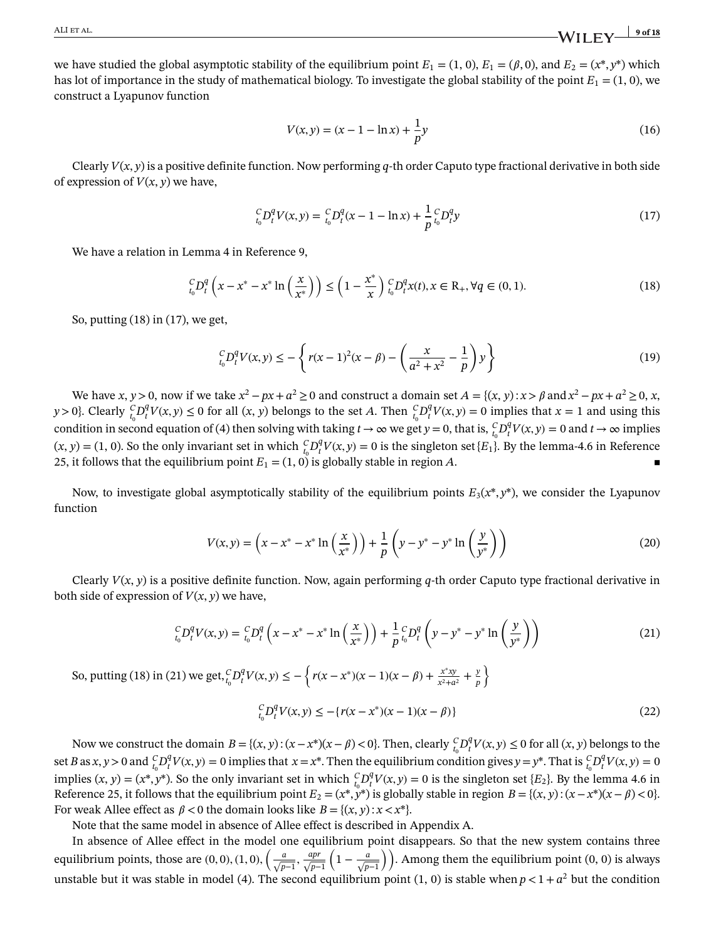we have studied the global asymptotic stability of the equilibrium point  $E_1 = (1, 0)$ ,  $E_1 = (\beta, 0)$ , and  $E_2 = (x^*, y^*)$  which has lot of importance in the study of mathematical biology. To investigate the global stability of the point  $E_1 = (1, 0)$ , we construct a Lyapunov function

$$
V(x, y) = (x - 1 - \ln x) + \frac{1}{p}y
$$
\n(16)

Clearly  $V(x, y)$  is a positive definite function. Now performing q-th order Caputo type fractional derivative in both side of expression of  $V(x, y)$  we have,

$$
{}_{t_0}^C D_t^q V(x, y) = {}_{t_0}^C D_t^q (x - 1 - \ln x) + \frac{1}{p} {}_{t_0}^C D_t^q y \tag{17}
$$

We have a relation in Lemma 4 in Reference 9,

$$
{}_{t_0}^{C}D_t^q\left(x - x^* - x^* \ln\left(\frac{x}{x^*}\right)\right) \le \left(1 - \frac{x^*}{x}\right) {}_{t_0}^{C}D_t^q x(t), x \in \mathbb{R}_+, \forall q \in (0, 1).
$$
\n(18)

So, putting (18) in (17), we get,

$$
{}_{t_0}^C D_t^q V(x, y) \le -\left\{ r(x-1)^2 (x-\beta) - \left( \frac{x}{a^2 + x^2} - \frac{1}{p} \right) y \right\} \tag{19}
$$

We have *x*, *y* > 0, now if we take  $x^2 - px + a^2 \ge 0$  and construct a domain set  $A = \{(x, y) : x > \beta \text{ and } x^2 - px + a^2 \ge 0, x,$ *y* > 0}. Clearly  ${}_{t_0}^C D_t^q$  $f_t^q V(x, y) \le 0$  for all  $(x, y)$  belongs to the set *A*. Then  $f_t^C D_t^q$  $t_t^q V(x, y) = 0$  implies that  $x = 1$  and using this condition in second equation of (4) then solving with taking  $t \to \infty$  we get  $y = 0$ , that is,  ${}_{t_0}^{C}D_t^0$  $t_t^q V(x, y) = 0$  and  $t \to \infty$  implies  $(x, y) = (1, 0)$ . So the only invariant set in which  ${}_{t_0}^{C}D_t^q$  $t_t^q V(x, y) = 0$  is the singleton set  $\{E_1\}$ . By the lemma-4.6 in Reference 25, it follows that the equilibrium point  $E_1 = (1, 0)$  is globally stable in region A.

Now, to investigate global asymptotically stability of the equilibrium points  $E_3(x^*, y^*)$ , we consider the Lyapunov function

$$
V(x,y) = \left(x - x^* - x^* \ln\left(\frac{x}{x^*}\right)\right) + \frac{1}{p}\left(y - y^* - y^* \ln\left(\frac{y}{y^*}\right)\right)
$$
(20)

Clearly *V*(*x*, *y*) is a positive definite function. Now, again performing *q*-th order Caputo type fractional derivative in both side of expression of  $V(x, y)$  we have,

$$
{}_{t_0}^C D_t^q V(x, y) = {}_{t_0}^C D_t^q \left( x - x^* - x^* \ln \left( \frac{x}{x^*} \right) \right) + \frac{1}{p} {}_{t_0}^C D_t^q \left( y - y^* - y^* \ln \left( \frac{y}{y^*} \right) \right)
$$
(21)

So, putting (18) in (21) we get,  ${}_{t_0}^C D_t^q$  $\frac{q}{t}V(x, y) \leq -\left\{ r(x - x^*)(x - 1)(x - \beta) + \frac{x^*xy}{x^2 + a} \right\}$  $\frac{x^*xy}{x^2+a^2} + \frac{y}{p}$ *p*  $\lambda$ 

$$
{}_{t_0}^C D_t^q V(x, y) \le -\{r(x - x^*)(x - 1)(x - \beta)\}\tag{22}
$$

Now we construct the domain  $B = \{(x, y) : (x - x^*)(x - \beta) < 0\}$ . Then, clearly  ${}_{t_0}^C D_t^q$  $t_t^q V(x, y) \le 0$  for all  $(x, y)$  belongs to the set *B* as  $x, y > 0$  and  ${}_{t_0}^C D_t^q$  $f_t^q V(x, y) = 0$  implies that  $x = x^*$ . Then the equilibrium condition gives  $y = y^*$ . That is  ${}_{t_0}^C D_t^q$  $C_t^q V(x, y) = 0$ implies  $(x, y) = (x^*, y^*)$ . So the only invariant set in which  ${}_{t_0}^{C}D_t^q$  $t_t^q V(x, y) = 0$  is the singleton set  ${E_2}$ . By the lemma 4.6 in Reference 25, it follows that the equilibrium point  $E_2 = (x^*, y^*)$  is globally stable in region  $B = \{(x, y): (x - x^*)(x - \beta) < 0\}.$ For weak Allee effect as  $\beta < 0$  the domain looks like  $B = \{(x, y) : x < x^*\}$ .

Note that the same model in absence of Allee effect is described in Appendix A.

In absence of Allee effect in the model one equilibrium point disappears. So that the new system contains three equilibrium points, those are  $(0, 0)$ ,  $(1, 0)$ ,  $\left(\frac{a}{\sqrt{p-1}}, \frac{ap}{\sqrt{p-1}}\right)$ √ *p*−1  $\left(1-\frac{a}{\sqrt{p-1}}\right)$ . Among them the equilibrium point (0, 0) is always unstable but it was stable in model (4). The second equilibrium point  $(1, 0)$  is stable when  $p < 1 + a^2$  but the condition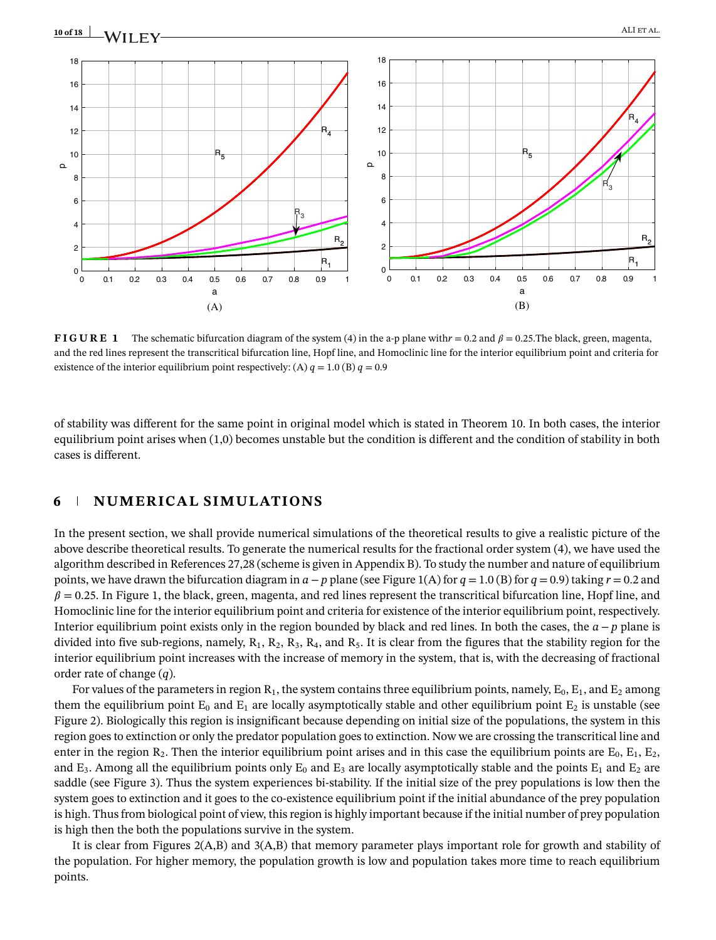

**FIGURE 1** The schematic bifurcation diagram of the system (4) in the a-p plane with  $r = 0.2$  and  $\beta = 0.25$ . The black, green, magenta, and the red lines represent the transcritical bifurcation line, Hopf line, and Homoclinic line for the interior equilibrium point and criteria for existence of the interior equilibrium point respectively: (A)  $q = 1.0$  (B)  $q = 0.9$ 

of stability was different for the same point in original model which is stated in Theorem 10. In both cases, the interior equilibrium point arises when (1,0) becomes unstable but the condition is different and the condition of stability in both cases is different.

# **6 NUMERICAL SIMULATIONS**

In the present section, we shall provide numerical simulations of the theoretical results to give a realistic picture of the above describe theoretical results. To generate the numerical results for the fractional order system (4), we have used the algorithm described in References 27,28 (scheme is given in Appendix B). To study the number and nature of equilibrium points, we have drawn the bifurcation diagram in  $a - p$  plane (see Figure 1(A) for  $q = 1.0$  (B) for  $q = 0.9$ ) taking  $r = 0.2$  and  $\beta$  = 0.25. In Figure 1, the black, green, magenta, and red lines represent the transcritical bifurcation line, Hopf line, and Homoclinic line for the interior equilibrium point and criteria for existence of the interior equilibrium point, respectively. Interior equilibrium point exists only in the region bounded by black and red lines. In both the cases, the *a*−*p* plane is divided into five sub-regions, namely,  $R_1$ ,  $R_2$ ,  $R_3$ ,  $R_4$ , and  $R_5$ . It is clear from the figures that the stability region for the interior equilibrium point increases with the increase of memory in the system, that is, with the decreasing of fractional order rate of change (*q*).

For values of the parameters in region  $R_1$ , the system contains three equilibrium points, namely,  $E_0$ ,  $E_1$ , and  $E_2$  among them the equilibrium point  $E_0$  and  $E_1$  are locally asymptotically stable and other equilibrium point  $E_2$  is unstable (see Figure 2). Biologically this region is insignificant because depending on initial size of the populations, the system in this region goes to extinction or only the predator population goes to extinction. Now we are crossing the transcritical line and enter in the region  $R_2$ . Then the interior equilibrium point arises and in this case the equilibrium points are  $E_0$ ,  $E_1$ ,  $E_2$ , and  $E_3$ . Among all the equilibrium points only  $E_0$  and  $E_3$  are locally asymptotically stable and the points  $E_1$  and  $E_2$  are saddle (see Figure 3). Thus the system experiences bi-stability. If the initial size of the prey populations is low then the system goes to extinction and it goes to the co-existence equilibrium point if the initial abundance of the prey population is high. Thus from biological point of view, this region is highly important because if the initial number of prey population is high then the both the populations survive in the system.

It is clear from Figures 2(A,B) and 3(A,B) that memory parameter plays important role for growth and stability of the population. For higher memory, the population growth is low and population takes more time to reach equilibrium points.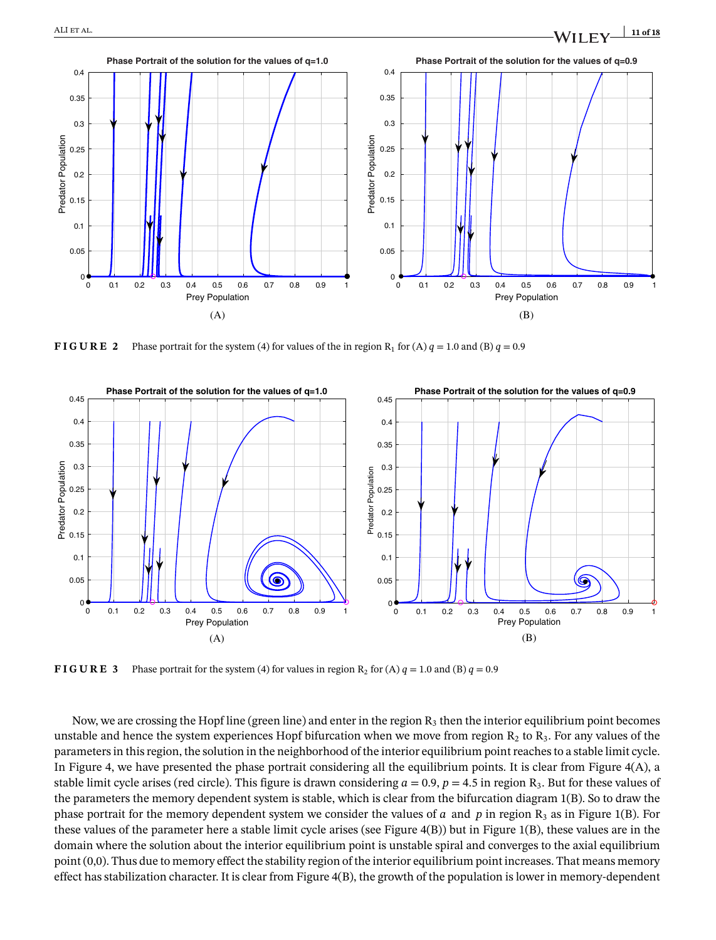

**FIGURE 2** Phase portrait for the system (4) for values of the in region R<sub>1</sub> for (A)  $q = 1.0$  and (B)  $q = 0.9$ 



**FIGURE 3** Phase portrait for the system (4) for values in region  $R_2$  for (A)  $q = 1.0$  and (B)  $q = 0.9$ 

Now, we are crossing the Hopf line (green line) and enter in the region  $R_3$  then the interior equilibrium point becomes unstable and hence the system experiences Hopf bifurcation when we move from region  $R_2$  to  $R_3$ . For any values of the parameters in this region, the solution in the neighborhood of the interior equilibrium point reaches to a stable limit cycle. In Figure 4, we have presented the phase portrait considering all the equilibrium points. It is clear from Figure 4(A), a stable limit cycle arises (red circle). This figure is drawn considering  $a = 0.9$ ,  $p = 4.5$  in region  $R_3$ . But for these values of the parameters the memory dependent system is stable, which is clear from the bifurcation diagram 1(B). So to draw the phase portrait for the memory dependent system we consider the values of *a* and *p* in region  $R_3$  as in Figure 1(B). For these values of the parameter here a stable limit cycle arises (see Figure 4(B)) but in Figure 1(B), these values are in the domain where the solution about the interior equilibrium point is unstable spiral and converges to the axial equilibrium point (0,0). Thus due to memory effect the stability region of the interior equilibrium point increases. That means memory effect has stabilization character. It is clear from Figure 4(B), the growth of the population is lower in memory-dependent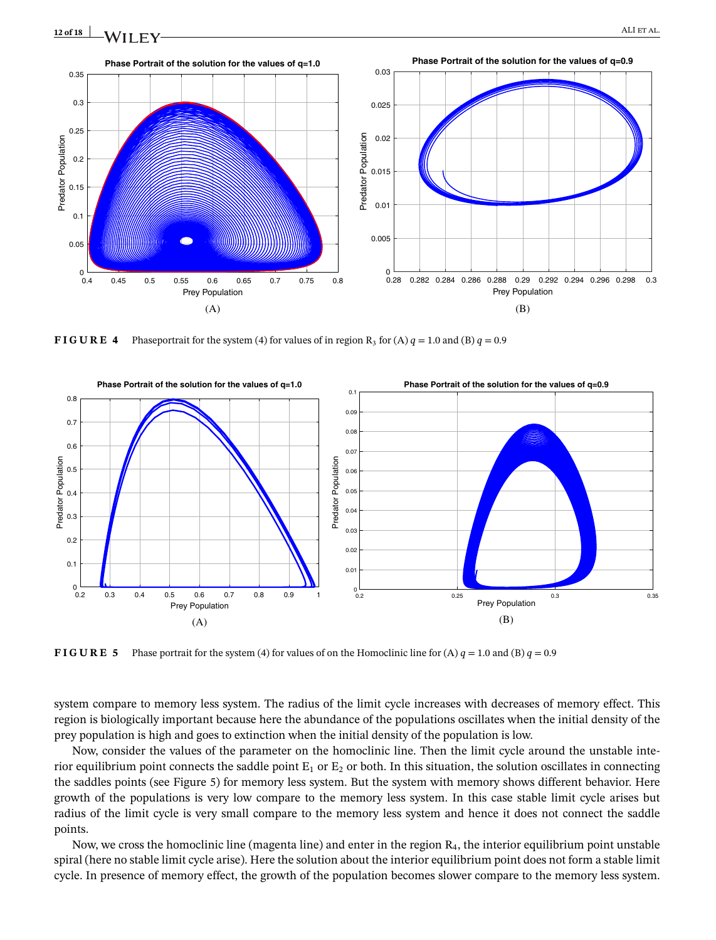

**FIGURE 4** Phaseportrait for the system (4) for values of in region  $R_3$  for (A)  $q = 1.0$  and (B)  $q = 0.9$ 



**FIGURE 5** Phase portrait for the system (4) for values of on the Homoclinic line for (A)  $q = 1.0$  and (B)  $q = 0.9$ 

system compare to memory less system. The radius of the limit cycle increases with decreases of memory effect. This region is biologically important because here the abundance of the populations oscillates when the initial density of the prey population is high and goes to extinction when the initial density of the population is low.

Now, consider the values of the parameter on the homoclinic line. Then the limit cycle around the unstable interior equilibrium point connects the saddle point  $E_1$  or  $E_2$  or both. In this situation, the solution oscillates in connecting the saddles points (see Figure 5) for memory less system. But the system with memory shows different behavior. Here growth of the populations is very low compare to the memory less system. In this case stable limit cycle arises but radius of the limit cycle is very small compare to the memory less system and hence it does not connect the saddle points.

Now, we cross the homoclinic line (magenta line) and enter in the region  $R<sub>4</sub>$ , the interior equilibrium point unstable spiral (here no stable limit cycle arise). Here the solution about the interior equilibrium point does not form a stable limit cycle. In presence of memory effect, the growth of the population becomes slower compare to the memory less system.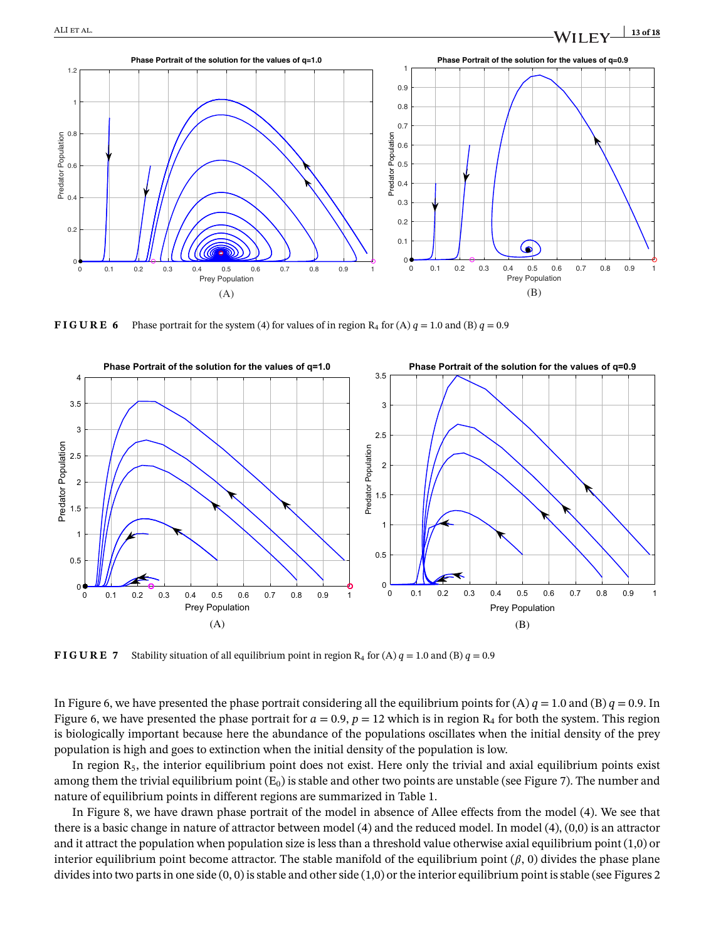

**FIGURE 6** Phase portrait for the system (4) for values of in region  $R_4$  for (A)  $q = 1.0$  and (B)  $q = 0.9$ 



**FIGURE 7** Stability situation of all equilibrium point in region R<sub>4</sub> for (A)  $q = 1.0$  and (B)  $q = 0.9$ 

In Figure 6, we have presented the phase portrait considering all the equilibrium points for  $(A) q = 1.0$  and  $(B) q = 0.9$ . In Figure 6, we have presented the phase portrait for  $a = 0.9$ ,  $p = 12$  which is in region  $R_4$  for both the system. This region is biologically important because here the abundance of the populations oscillates when the initial density of the prey population is high and goes to extinction when the initial density of the population is low.

In region  $R_5$ , the interior equilibrium point does not exist. Here only the trivial and axial equilibrium points exist among them the trivial equilibrium point  $(E_0)$  is stable and other two points are unstable (see Figure 7). The number and nature of equilibrium points in different regions are summarized in Table 1.

In Figure 8, we have drawn phase portrait of the model in absence of Allee effects from the model (4). We see that there is a basic change in nature of attractor between model (4) and the reduced model. In model (4), (0,0) is an attractor and it attract the population when population size is less than a threshold value otherwise axial equilibrium point (1,0) or interior equilibrium point become attractor. The stable manifold of the equilibrium point  $(\beta, 0)$  divides the phase plane divides into two parts in one side  $(0, 0)$  is stable and other side  $(1, 0)$  or the interior equilibrium point is stable (see Figures 2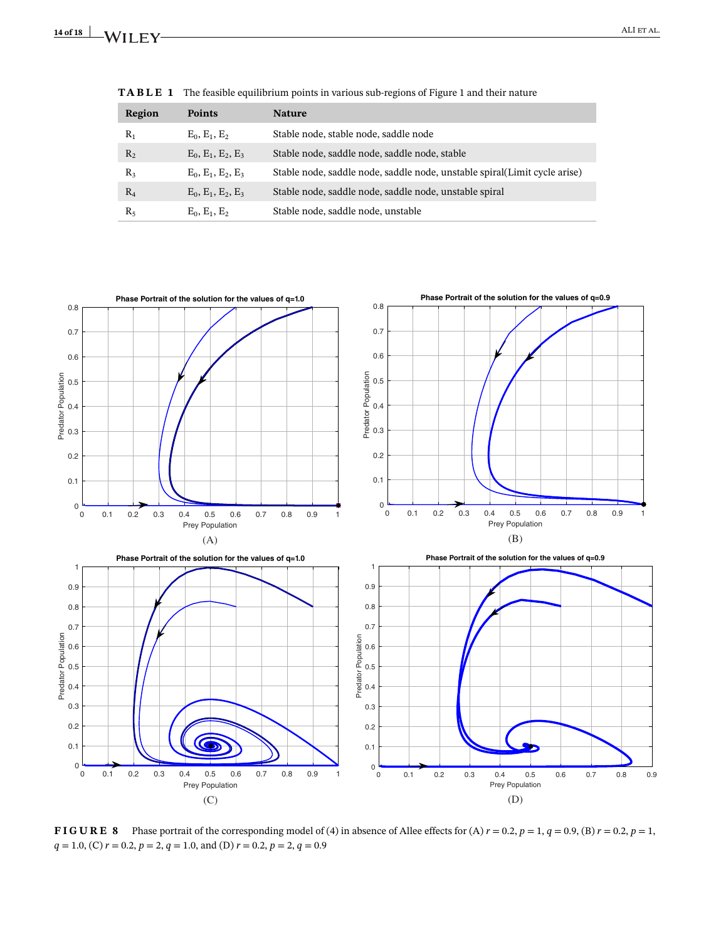| Region         | <b>Points</b>        | <b>Nature</b>                                                              |
|----------------|----------------------|----------------------------------------------------------------------------|
| $R_1$          | $E_0, E_1, E_2$      | Stable node, stable node, saddle node                                      |
| R <sub>2</sub> | $E_0, E_1, E_2, E_3$ | Stable node, saddle node, saddle node, stable                              |
| $R_3$          | $E_0, E_1, E_2, E_3$ | Stable node, saddle node, saddle node, unstable spiral (Limit cycle arise) |
| $R_4$          | $E_0, E_1, E_2, E_3$ | Stable node, saddle node, saddle node, unstable spiral                     |
| $R_5$          | $E_0, E_1, E_2$      | Stable node, saddle node, unstable                                         |

**TABLE 1** The feasible equilibrium points in various sub-regions of Figure 1 and their nature



**FIGURE 8** Phase portrait of the corresponding model of (4) in absence of Allee effects for (A)  $r = 0.2$ ,  $p = 1$ ,  $q = 0.9$ , (B)  $r = 0.2$ ,  $p = 1$ , *q* = 1.0, (C) *r* = 0.2, *p* = 2, *q* = 1.0, and (D) *r* = 0.2, *p* = 2, *q* = 0.9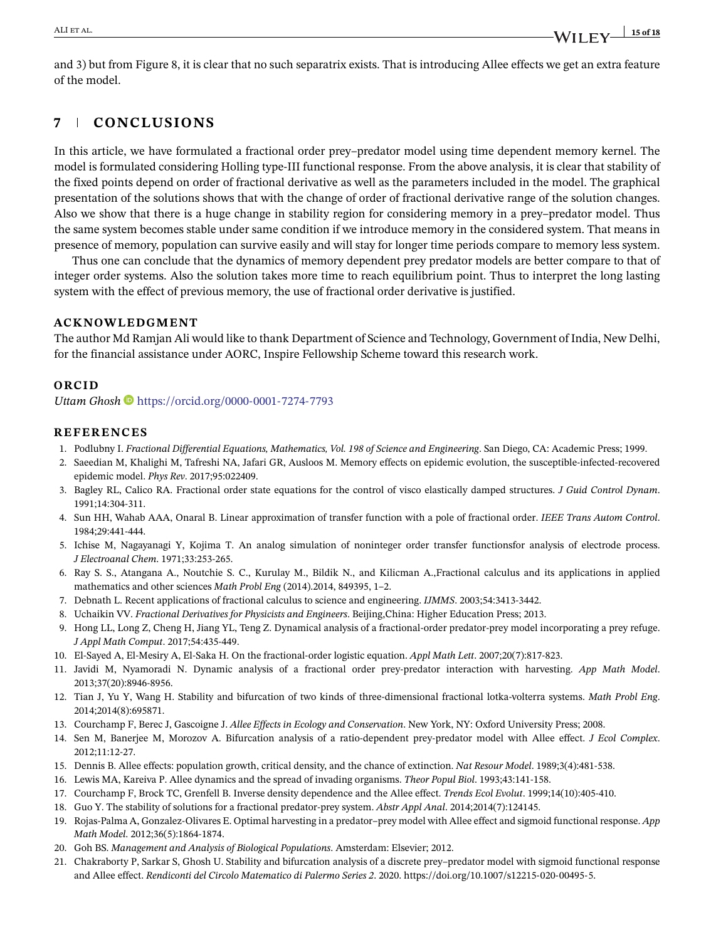and 3) but from Figure 8, it is clear that no such separatrix exists. That is introducing Allee effects we get an extra feature of the model.

# **7 CONCLUSIONS**

In this article, we have formulated a fractional order prey–predator model using time dependent memory kernel. The model is formulated considering Holling type-III functional response. From the above analysis, it is clear that stability of the fixed points depend on order of fractional derivative as well as the parameters included in the model. The graphical presentation of the solutions shows that with the change of order of fractional derivative range of the solution changes. Also we show that there is a huge change in stability region for considering memory in a prey–predator model. Thus the same system becomes stable under same condition if we introduce memory in the considered system. That means in presence of memory, population can survive easily and will stay for longer time periods compare to memory less system.

Thus one can conclude that the dynamics of memory dependent prey predator models are better compare to that of integer order systems. Also the solution takes more time to reach equilibrium point. Thus to interpret the long lasting system with the effect of previous memory, the use of fractional order derivative is justified.

# **ACKNOWLEDGMENT**

The author Md Ramjan Ali would like to thank Department of Science and Technology, Government of India, New Delhi, for the financial assistance under AORC, Inspire Fellowship Scheme toward this research work.

# **ORCID**

*Uttam Ghosh* https://orcid.org/0000-0001-7274-7793

## **REFERENCES**

- 1. Podlubny I. *Fractional Differential Equations, Mathematics, Vol. 198 of Science and Engineering*. San Diego, CA: Academic Press; 1999.
- 2. Saeedian M, Khalighi M, Tafreshi NA, Jafari GR, Ausloos M. Memory effects on epidemic evolution, the susceptible-infected-recovered epidemic model. *Phys Rev*. 2017;95:022409.
- 3. Bagley RL, Calico RA. Fractional order state equations for the control of visco elastically damped structures. *J Guid Control Dynam*. 1991;14:304-311.
- 4. Sun HH, Wahab AAA, Onaral B. Linear approximation of transfer function with a pole of fractional order. *IEEE Trans Autom Control*. 1984;29:441-444.
- 5. Ichise M, Nagayanagi Y, Kojima T. An analog simulation of noninteger order transfer functionsfor analysis of electrode process. *J Electroanal Chem*. 1971;33:253-265.
- 6. Ray S. S., Atangana A., Noutchie S. C., Kurulay M., Bildik N., and Kilicman A.,Fractional calculus and its applications in applied mathematics and other sciences *Math Probl Eng* (2014).2014, 849395, 1–2.
- 7. Debnath L. Recent applications of fractional calculus to science and engineering. *IJMMS*. 2003;54:3413-3442.
- 8. Uchaikin VV. *Fractional Derivatives for Physicists and Engineers*. Beijing,China: Higher Education Press; 2013.
- 9. Hong LL, Long Z, Cheng H, Jiang YL, Teng Z. Dynamical analysis of a fractional-order predator-prey model incorporating a prey refuge. *J Appl Math Comput*. 2017;54:435-449.
- 10. El-Sayed A, El-Mesiry A, El-Saka H. On the fractional-order logistic equation. *Appl Math Lett*. 2007;20(7):817-823.
- 11. Javidi M, Nyamoradi N. Dynamic analysis of a fractional order prey-predator interaction with harvesting. *App Math Model*. 2013;37(20):8946-8956.
- 12. Tian J, Yu Y, Wang H. Stability and bifurcation of two kinds of three-dimensional fractional lotka-volterra systems. *Math Probl Eng*. 2014;2014(8):695871.
- 13. Courchamp F, Berec J, Gascoigne J. *Allee Effects in Ecology and Conservation*. New York, NY: Oxford University Press; 2008.
- 14. Sen M, Banerjee M, Morozov A. Bifurcation analysis of a ratio-dependent prey-predator model with Allee effect. *J Ecol Complex*. 2012;11:12-27.
- 15. Dennis B. Allee effects: population growth, critical density, and the chance of extinction. *Nat Resour Model*. 1989;3(4):481-538.
- 16. Lewis MA, Kareiva P. Allee dynamics and the spread of invading organisms. *Theor Popul Biol*. 1993;43:141-158.
- 17. Courchamp F, Brock TC, Grenfell B. Inverse density dependence and the Allee effect. *Trends Ecol Evolut*. 1999;14(10):405-410.
- 18. Guo Y. The stability of solutions for a fractional predator-prey system. *Abstr Appl Anal*. 2014;2014(7):124145.
- 19. Rojas-Palma A, Gonzalez-Olivares E. Optimal harvesting in a predator–prey model with Allee effect and sigmoid functional response. *App Math Model*. 2012;36(5):1864-1874.
- 20. Goh BS. *Management and Analysis of Biological Populations*. Amsterdam: Elsevier; 2012.
- 21. Chakraborty P, Sarkar S, Ghosh U. Stability and bifurcation analysis of a discrete prey–predator model with sigmoid functional response and Allee effect. *Rendiconti del Circolo Matematico di Palermo Series 2*. 2020. https://doi.org/10.1007/s12215-020-00495-5.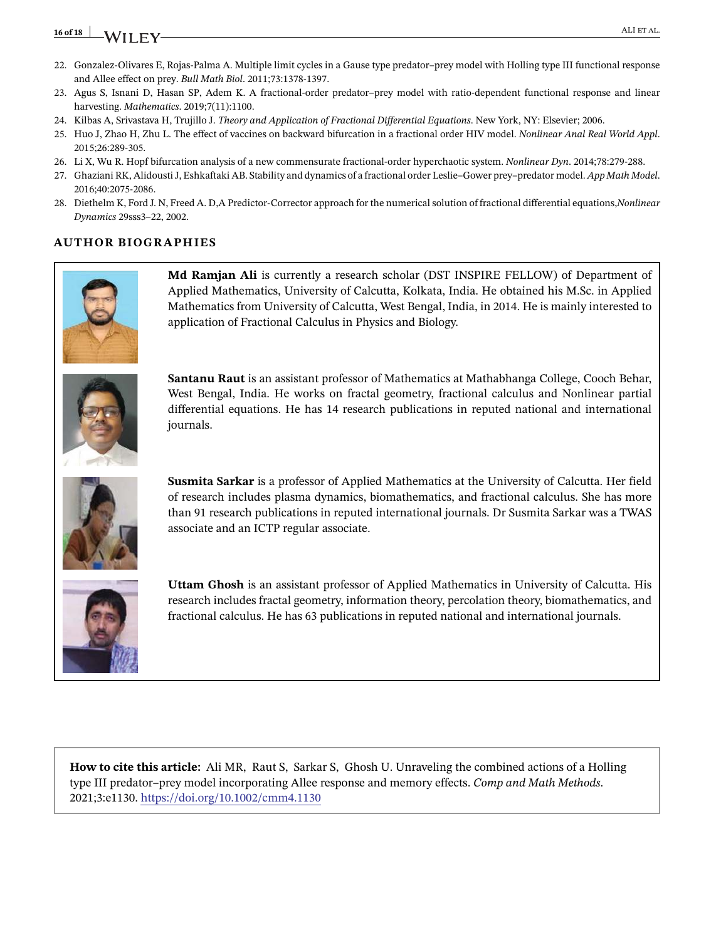# **16 of 18 ALI ET AL. ALI ET AL. ALI ET AL.**

- 22. Gonzalez-Olivares E, Rojas-Palma A. Multiple limit cycles in a Gause type predator–prey model with Holling type III functional response and Allee effect on prey. *Bull Math Biol*. 2011;73:1378-1397.
- 23. Agus S, Isnani D, Hasan SP, Adem K. A fractional-order predator–prey model with ratio-dependent functional response and linear harvesting. *Mathematics*. 2019;7(11):1100.
- 24. Kilbas A, Srivastava H, Trujillo J. *Theory and Application of Fractional Differential Equations*. New York, NY: Elsevier; 2006.
- 25. Huo J, Zhao H, Zhu L. The effect of vaccines on backward bifurcation in a fractional order HIV model. *Nonlinear Anal Real World Appl*. 2015;26:289-305.
- 26. Li X, Wu R. Hopf bifurcation analysis of a new commensurate fractional-order hyperchaotic system. *Nonlinear Dyn*. 2014;78:279-288.
- 27. Ghaziani RK, Alidousti J, Eshkaftaki AB. Stability and dynamics of a fractional order Leslie–Gower prey–predator model. *App Math Model*. 2016;40:2075-2086.
- 28. Diethelm K, Ford J. N, Freed A. D,A Predictor-Corrector approach for the numerical solution of fractional differential equations,*Nonlinear Dynamics* 29sss3–22, 2002.

# **AUTHOR BIOGRAPHIES**



**Md Ramjan Ali** is currently a research scholar (DST INSPIRE FELLOW) of Department of Applied Mathematics, University of Calcutta, Kolkata, India. He obtained his M.Sc. in Applied Mathematics from University of Calcutta, West Bengal, India, in 2014. He is mainly interested to application of Fractional Calculus in Physics and Biology.



**Santanu Raut** is an assistant professor of Mathematics at Mathabhanga College, Cooch Behar, West Bengal, India. He works on fractal geometry, fractional calculus and Nonlinear partial differential equations. He has 14 research publications in reputed national and international journals.



**Susmita Sarkar** is a professor of Applied Mathematics at the University of Calcutta. Her field of research includes plasma dynamics, biomathematics, and fractional calculus. She has more than 91 research publications in reputed international journals. Dr Susmita Sarkar was a TWAS associate and an ICTP regular associate.



**Uttam Ghosh** is an assistant professor of Applied Mathematics in University of Calcutta. His research includes fractal geometry, information theory, percolation theory, biomathematics, and fractional calculus. He has 63 publications in reputed national and international journals.

**How to cite this article:** Ali MR, Raut S, Sarkar S, Ghosh U. Unraveling the combined actions of a Holling type III predator–prey model incorporating Allee response and memory effects. *Comp and Math Methods*. 2021;3:e1130. https://doi.org/10.1002/cmm4.1130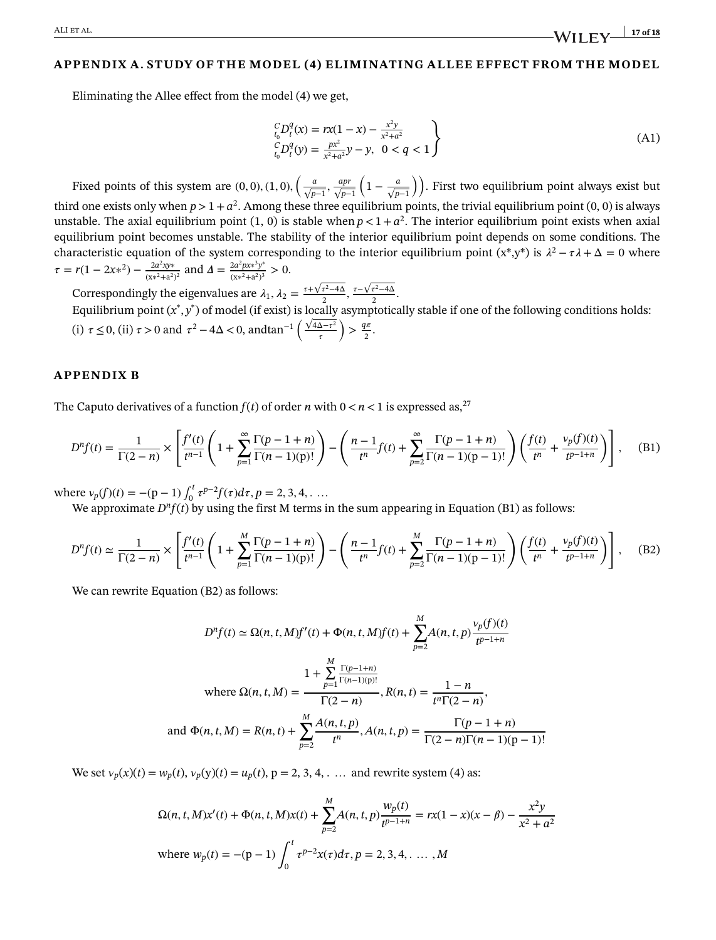ALI et al. **17 of 18**

#### **APPENDIX A. STUDY OF THE MODEL (4) ELIMINATING ALLEE EFFECT FROM THE MODEL**

Eliminating the Allee effect from the model (4) we get,

$$
\begin{aligned}\n\binom{C}{t_0} P_t^q(x) &= r x (1 - x) - \frac{x^2 y}{x^2 + a^2} \\
\binom{C}{t_0} P_t^q(y) &= \frac{px^2}{x^2 + a^2} y - y, \quad 0 < q < 1\n\end{aligned} \tag{A1}
$$

Fixed points of this system are  $(0,0)$ ,  $(1,0)$ ,  $\left(\frac{a}{\sqrt{p-1}}, \frac{apr}{\sqrt{p-1}}\right)$ √ *p*−1  $\left(1 - \frac{a}{\sqrt{p-1}}\right)$ . First two equilibrium point always exist but third one exists only when  $p > 1 + a^2$ . Among these three equilibrium points, the trivial equilibrium point (0, 0) is always unstable. The axial equilibrium point  $(1, 0)$  is stable when  $p < 1 + a^2$ . The interior equilibrium point exists when axial equilibrium point becomes unstable. The stability of the interior equilibrium point depends on some conditions. The characteristic equation of the system corresponding to the interior equilibrium point  $(x^*,y^*)$  is  $\lambda^2-\tau\lambda+\Delta=0$  where  $\tau = r(1 - 2x^{2}) - \frac{2a^{2}xy^{*}}{(x^{2}+a^{2})^{2}}$  $\frac{2a^2xy^*}{(x^2+a^2)^2}$  and  $\Delta = \frac{2a^2px*^3y^*}{(x^2+a^2)^3}$  $\frac{\sum_{x}^{\infty} \mu x^2 y}{(x^2+a^2)^3} > 0.$ 

Correspondingly the eigenvalues are  $\lambda_1, \lambda_2 = \frac{\tau + \sqrt{\tau^2 - 4\Delta}}{2}, \frac{\tau - \sqrt{\tau^2 - 4\Delta}}{2}.$ Equilibrium point  $(x^*, y^*)$  of model (if exist) is locally asymptotically stable if one of the following conditions holds: (i)  $\tau \le 0$ , (ii)  $\tau > 0$  and  $\tau^2 - 4\Delta < 0$ , andtan<sup>-1</sup>  $\left( \frac{\sqrt{4\Delta - \tau^2}}{\tau} \right)$  $\tau$  $\left( \frac{q\pi}{2} \right)$  $rac{1^n}{2}$ .

#### **APPENDIX B**

The Caputo derivatives of a function  $f(t)$  of order *n* with  $0 < n < 1$  is expressed as, <sup>27</sup>

$$
D^{n}f(t) = \frac{1}{\Gamma(2-n)} \times \left[ \frac{f'(t)}{t^{n-1}} \left( 1 + \sum_{p=1}^{\infty} \frac{\Gamma(p-1+n)}{\Gamma(n-1)(p)!} \right) - \left( \frac{n-1}{t^{n}} f(t) + \sum_{p=2}^{\infty} \frac{\Gamma(p-1+n)}{\Gamma(n-1)(p-1)!} \right) \left( \frac{f(t)}{t^{n}} + \frac{\nu_{p}(f)(t)}{t^{p-1+n}} \right) \right], \quad (B1)
$$

where  $v_p(f)(t) = -(p-1) \int_0^t$  $\int_0^t \tau^{p-2} f(\tau) d\tau, p = 2, 3, 4, \ldots$ 

We approximate  $D<sup>n</sup>f(t)$  by using the first M terms in the sum appearing in Equation (B1) as follows:

$$
D^{n}f(t) \simeq \frac{1}{\Gamma(2-n)} \times \left[ \frac{f'(t)}{t^{n-1}} \left( 1 + \sum_{p=1}^{M} \frac{\Gamma(p-1+n)}{\Gamma(n-1)(p)!} \right) - \left( \frac{n-1}{t^{n}} f(t) + \sum_{p=2}^{M} \frac{\Gamma(p-1+n)}{\Gamma(n-1)(p-1)!} \right) \left( \frac{f(t)}{t^{n}} + \frac{\nu_{p}(f)(t)}{t^{p-1+n}} \right) \right], \quad (B2)
$$

We can rewrite Equation (B2) as follows:

$$
D^{n}f(t) \simeq \Omega(n, t, M)f'(t) + \Phi(n, t, M)f(t) + \sum_{p=2}^{M} A(n, t, p) \frac{v_{p}(f)(t)}{t^{p-1+n}}
$$
  
\nwhere  $\Omega(n, t, M) = \frac{1 + \sum_{p=1}^{M} \frac{\Gamma(p-1+n)}{\Gamma(n-1)(p)!}}{\Gamma(2-n)}, R(n, t) = \frac{1-n}{t^{n}\Gamma(2-n)},$   
\nand  $\Phi(n, t, M) = R(n, t) + \sum_{p=2}^{M} \frac{A(n, t, p)}{t^{n}}, A(n, t, p) = \frac{\Gamma(p-1+n)}{\Gamma(2-n)\Gamma(n-1)(p-1)!}$ 

We set  $v_p(x)(t) = w_p(t)$ ,  $v_p(y)(t) = u_p(t)$ ,  $p = 2, 3, 4, \ldots$  and rewrite system (4) as:

$$
\Omega(n, t, M)x'(t) + \Phi(n, t, M)x(t) + \sum_{p=2}^{M} A(n, t, p) \frac{w_p(t)}{t^{p-1+n}} = rx(1-x)(x-\beta) - \frac{x^2y}{x^2 + a^2}
$$
  
where  $w_p(t) = -(p-1) \int_0^t \tau^{p-2} x(\tau) d\tau$ ,  $p = 2, 3, 4, ..., M$